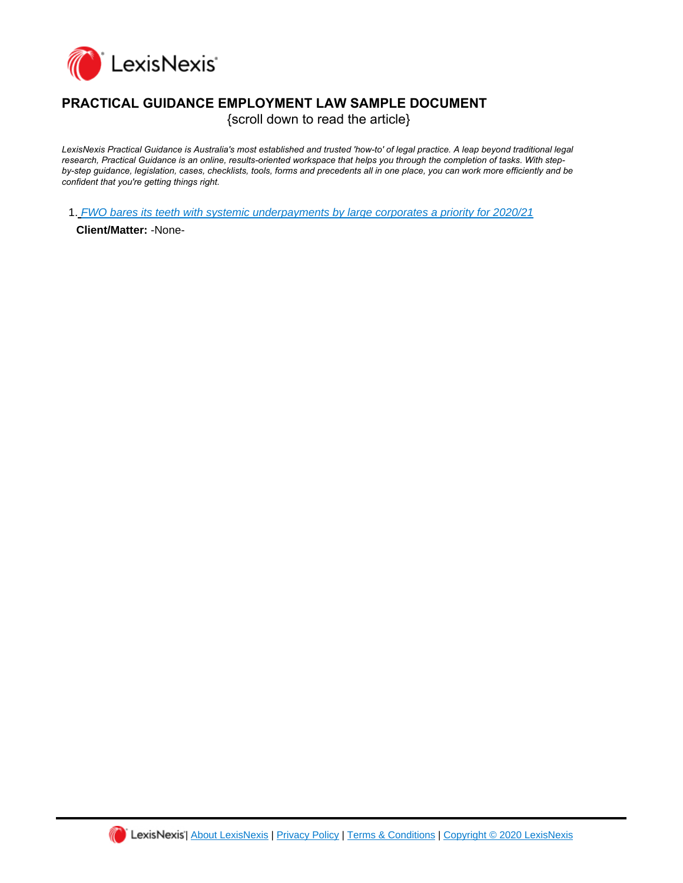

## **PRACTICAL GUIDANCE EMPLOYMENT LAW SAMPLE DOCUMENT**

{scroll down to read the article}

*LexisNexis Practical Guidance is Australia's most established and trusted 'how-to' of legal practice. A leap beyond traditional legal research, Practical Guidance is an online, results-oriented workspace that helps you through the completion of tasks. With stepby-step guidance, legislation, cases, checklists, tools, forms and precedents all in one place, you can work more efficiently and be confident that you're getting things right.*

1. [FWO bares its teeth with systemic underpayments by large corporates a priority for 2020/21](https://advance.lexis.com/api/document?id=urn:contentItem:60X0-CJT1-JGBH-B0K2-00000-00&idtype=PID&context=1201009)

**Client/Matter:** -None-

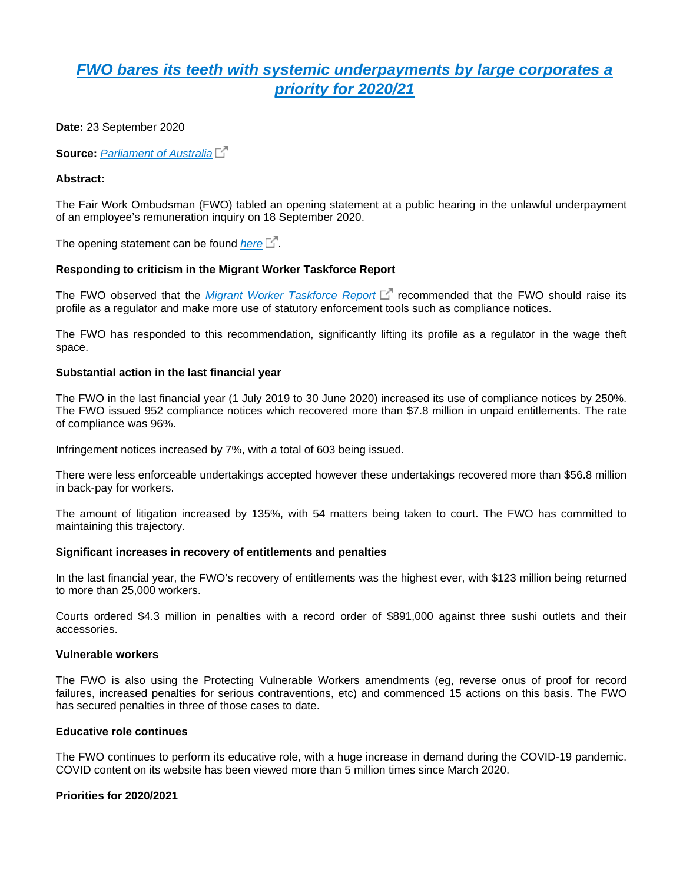# *[FWO bares its teeth with systemic underpayments by large corporates a](https://advance.lexis.com/api/document?collection=analytical-materials-au&id=urn:contentItem:60X0-CJT1-JGBH-B0K2-00000-00&context=)  [priority for 2020/21](https://advance.lexis.com/api/document?collection=analytical-materials-au&id=urn:contentItem:60X0-CJT1-JGBH-B0K2-00000-00&context=)*

**Date:** 23 September 2020

**Source:** *[Parliament of Australia](https://www.aph.gov.au/sitecore/content/Home/Parliamentary_Business/Committees/Senate/Economics/Underpaymentofwages/Additional_Documents)*

#### **Abstract:**

The Fair Work Ombudsman (FWO) tabled an opening statement at a public hearing in the unlawful underpayment of an employee's remuneration inquiry on 18 September 2020.

The opening statement can be found *[here](https://www.aph.gov.au/sitecore/content/Home/Parliamentary_Business/Committees/Senate/Economics/Underpaymentofwages/Additional_Documents)*  $\Box$ .

#### **Responding to criticism in the Migrant Worker Taskforce Report**

The FWO observed that the *[Migrant Worker Taskforce Report](https://www.ag.gov.au/sites/default/files/2020-03/government_response_to_the_migrant_workers_taskforce_report.docx)* Fore recommended that the FWO should raise its profile as a regulator and make more use of statutory enforcement tools such as compliance notices.

The FWO has responded to this recommendation, significantly lifting its profile as a regulator in the wage theft space.

#### **Substantial action in the last financial year**

The FWO in the last financial year (1 July 2019 to 30 June 2020) increased its use of compliance notices by 250%. The FWO issued 952 compliance notices which recovered more than \$7.8 million in unpaid entitlements. The rate of compliance was 96%.

Infringement notices increased by 7%, with a total of 603 being issued.

There were less enforceable undertakings accepted however these undertakings recovered more than \$56.8 million in back-pay for workers.

The amount of litigation increased by 135%, with 54 matters being taken to court. The FWO has committed to maintaining this trajectory.

#### **Significant increases in recovery of entitlements and penalties**

In the last financial year, the FWO's recovery of entitlements was the highest ever, with \$123 million being returned to more than 25,000 workers.

Courts ordered \$4.3 million in penalties with a record order of \$891,000 against three sushi outlets and their accessories.

#### **Vulnerable workers**

The FWO is also using the Protecting Vulnerable Workers amendments (eg, reverse onus of proof for record failures, increased penalties for serious contraventions, etc) and commenced 15 actions on this basis. The FWO has secured penalties in three of those cases to date.

#### **Educative role continues**

The FWO continues to perform its educative role, with a huge increase in demand during the COVID-19 pandemic. COVID content on its website has been viewed more than 5 million times since March 2020.

#### **Priorities for 2020/2021**